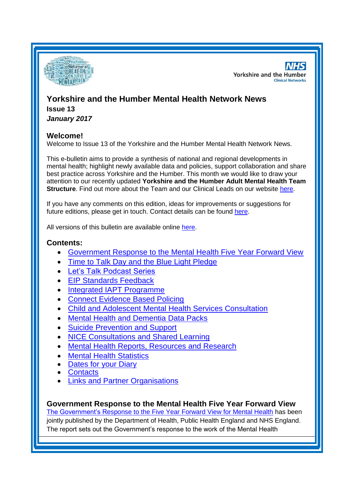

**NHS Yorkshire and the Humber Clinical Networks** 

# **Yorkshire and the Humber Mental Health Network News**

**Issue 13** *January 2017*

## **Welcome!**

Welcome to Issue 13 of the Yorkshire and the Humber Mental Health Network News.

This e-bulletin aims to provide a synthesis of national and regional developments in mental health; highlight newly available data and policies, support collaboration and share best practice across Yorkshire and the Humber. This month we would like to draw your attention to our recently updated **Yorkshire and the Humber Adult Mental Health Team Structure**. Find out more about the Team and our Clinical Leads on our website [here.](http://www.yhscn.nhs.uk/mental-health-clinic/mental-health-network/MH-Clinical-Leads.php)

If you have any comments on this edition, ideas for improvements or suggestions for future editions, please get in touch. Contact details can be found [here.](#page-5-0)

All versions of this bulletin are available online [here.](http://www.yhscn.nhs.uk/mental-health-clinic/mental-health-network/MH-documents-and-links.php)

# **Contents:**

- [Government Response to the Mental Health Five Year Forward View](#page-0-0)
- [Time to Talk Day and the Blue Light Pledge](#page-1-0)
- [Let's Talk Podcast Series](#page-1-1)
- [EIP Standards Feedback](#page-1-2)
- [Integrated IAPT Programme](#page-1-3)
- **[Connect Evidence Based Policing](#page-1-4)**
- Child and [Adolescent Mental Health Services Consultation](#page-2-0)
- [Mental Health and Dementia Data Packs](#page-2-1)
- [Suicide Prevention and Support](#page-2-2)
- [NICE Consultations and Shared Learning](#page-3-0)
- [Mental Health Reports, Resources and Research](#page-3-1)
- [Mental Health Statistics](#page-4-0)
- [Dates for your](#page-0-0) Diary
- **[Contacts](#page-5-0)**
- [Links and Partner Organisations](#page-6-0)

# <span id="page-0-0"></span>**Government Response to the Mental Health Five Year Forward View**

[The Government's Response to the Five Year Forward View for Mental Health](https://www.gov.uk/government/publications/five-year-forward-view-for-mental-health-government-response) has been jointly published by the Department of Health, Public Health England and NHS England. The report sets out the Government's response to the work of the Mental Health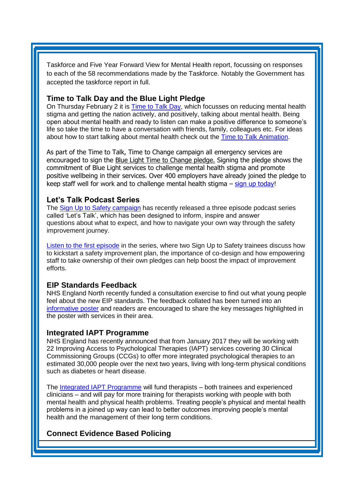Taskforce and Five Year Forward View for Mental Health report, focussing on responses to each of the 58 recommendations made by the Taskforce. Notably the Government has accepted the taskforce report in full.

#### <span id="page-1-0"></span>**Time to Talk Day and the Blue Light Pledge**

On Thursday February 2 it is [Time to Talk Day,](http://cmp.charityemail.org.uk/CZC-4PLDX-IK3CN7-2G5TNT-1/c.aspx) which focusses on reducing mental health stigma and getting the nation actively, and positively, talking about mental health. Being open about mental health and ready to listen can make a positive difference to someone's life so take the time to have a conversation with friends, family, colleagues etc. For ideas about how to start talking about mental health check out the [Time to Talk Animation.](https://www.youtube.com/watch?v=knJAxigkm1Y&feature=youtu.be)

As part of the Time to Talk, Time to Change campaign all emergency services are encouraged to sign the [Blue Light Time to Change pledge.](http://cmp.charityemail.org.uk/CZC-4PLDX-IK3CN7-2G5TNU-1/c.aspx) Signing the pledge shows the commitment of Blue Light services to challenge mental health stigma and promote positive wellbeing in their services. Over 400 employers have already joined the pledge to keep staff well for work and to challenge mental health stigma  $-$  [sign up today!](http://www.mind.org.uk/news-campaigns/campaigns/bluelight/blue-light-time-to-change-pledge/?utm_source=Mind&utm_medium=email&utm_campaign=7912581_Remail%3a+Copy+of+Blue+Light+e-news+non-emergency+services+January+2017+10.1.17&utm_content=Pledge&dm_i=CZC%2c4PLDX%2cIK3CN7%2cHMWXV%2c1)

#### <span id="page-1-1"></span>**Let's Talk Podcast Series**

The [Sign Up to Safety campaign](https://www.england.nhs.uk/signuptosafety/) has recently released a three episode podcast series called 'Let's Talk', which has been designed to inform, inspire and answer questions about what to expect, and how to navigate your own way through the safety improvement journey.

[Listen to the first episode](http://nhs.us9.list-manage1.com/track/click?u=7e9ceeeb64f99ebe748347e7d&id=f93e8e3079&e=4290b11e4c) in the series, where two Sign Up to Safety trainees discuss how to kickstart a safety improvement plan, the importance of co-design and how empowering staff to take ownership of their own pledges can help boost the impact of improvement efforts.

#### <span id="page-1-2"></span>**EIP Standards Feedback**

NHS England North recently funded a consultation exercise to find out what young people feel about the new EIP standards. The feedback collated has been turned into an [informative poster](http://www.yhscn.nhs.uk/media/PDFs/mhdn/Mental%20Health/EIP/EIP%20leaflet%20A5-01.jpg) and readers are encouraged to share the key messages highlighted in the poster with services in their area.

#### <span id="page-1-3"></span>**Integrated IAPT Programme**

NHS England has recently announced that from January 2017 they will be working with 22 Improving Access to Psychological Therapies (IAPT) services covering 30 Clinical Commissioning Groups (CCGs) to offer more integrated psychological therapies to an estimated 30,000 people over the next two years, living with long-term physical conditions such as diabetes or heart disease.

The [Integrated IAPT Programme](https://nhsengland.sharepoint.com/Knowledge/News/Pages/MH281216.aspx) will fund therapists – both trainees and experienced clinicians – and will pay for more training for therapists working with people with both mental health and physical health problems. Treating people's physical and mental health problems in a joined up way can lead to better outcomes improving people's mental health and the management of their long term conditions.

# <span id="page-1-4"></span>**Connect Evidence Based Policing**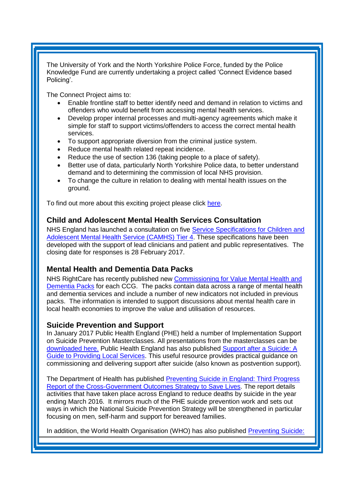The University of York and the North Yorkshire Police Force, funded by the Police Knowledge Fund are currently undertaking a project called 'Connect Evidence based Policing'.

The Connect Project aims to:

- Enable frontline staff to better identify need and demand in relation to victims and offenders who would benefit from accessing mental health services.
- Develop proper internal processes and multi-agency agreements which make it simple for staff to support victims/offenders to access the correct mental health services.
- To support appropriate diversion from the criminal justice system.
- Reduce mental health related repeat incidence.
- Reduce the use of section 136 (taking people to a place of safety).
- Better use of data, particularly North Yorkshire Police data, to better understand demand and to determining the commission of local NHS provision.
- To change the culture in relation to dealing with mental health issues on the ground.

To find out more about this exciting project please click [here.](http://connectebp.org/)

## <span id="page-2-0"></span>**Child and Adolescent Mental Health Services Consultation**

NHS England has launched a consultation on five [Service Specifications for Children and](https://www.engage.england.nhs.uk/consultation/camhs/)  [Adolescent Mental Health Service \(CAMHS\) Tier 4.](https://www.engage.england.nhs.uk/consultation/camhs/) These specifications have been developed with the support of lead clinicians and patient and public representatives. The closing date for responses is 28 February 2017.

# <span id="page-2-1"></span>**Mental Health and Dementia Data Packs**

NHS RightCare has recently published new [Commissioning for Value Mental Health and](https://www.england.nhs.uk/rightcare/2017/01/23/mh-dementia-data-packs/)  [Dementia Packs](https://www.england.nhs.uk/rightcare/2017/01/23/mh-dementia-data-packs/) for each CCG. The packs contain data across a range of mental health and dementia services and include a number of new indicators not included in previous packs. The information is intended to support discussions about mental health care in local health economies to improve the value and utilisation of resources.

#### <span id="page-2-2"></span>**Suicide Prevention and Support**

In January 2017 Public Health England (PHE) held a number of Implementation Support on Suicide Prevention Masterclasses. All presentations from the masterclasses can be [downloaded here.](https://www.phe-events.org.uk/HPA/media/uploaded/EVHPA/event_646/MHMC_Yorkshire_and_Humber_-_Web.pdf) Public Health England has also published [Support after a Suicide: A](https://www.gov.uk/government/publications/support-after-a-suicide-a-guide-to-providing-local-services)  [Guide to Providing Local Services.](https://www.gov.uk/government/publications/support-after-a-suicide-a-guide-to-providing-local-services) This useful resource provides practical guidance on commissioning and delivering support after suicide (also known as postvention support).

The Department of Health has published [Preventing Suicide in England: Third Progress](https://www.gov.uk/government/publications/suicide-prevention-third-annual-report)  [Report of the Cross-Government Outcomes Strategy to Save Lives.](https://www.gov.uk/government/publications/suicide-prevention-third-annual-report) The report details activities that have taken place across England to reduce deaths by suicide in the year ending March 2016. It mirrors much of the PHE suicide prevention work and sets out ways in which the National Suicide Prevention Strategy will be strengthened in particular focusing on men, self-harm and support for bereaved families.

In addition, the World Health Organisation (WHO) has also published [Preventing Suicide:](http://www.who.int/mental_health/suicide-prevention/community_engagement_toolkit_pilot/en/)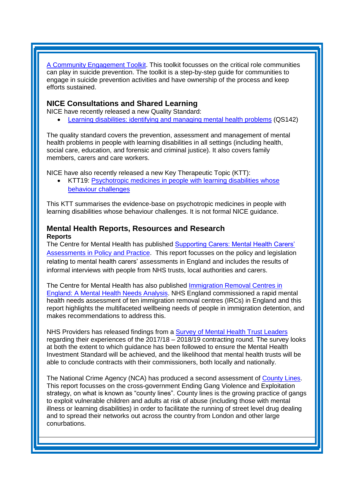[A Community Engagement Toolkit.](http://www.who.int/mental_health/suicide-prevention/community_engagement_toolkit_pilot/en/) This toolkit focusses on the critical role communities can play in suicide prevention. The toolkit is a step-by-step guide for communities to engage in suicide prevention activities and have ownership of the process and keep efforts sustained.

# <span id="page-3-0"></span>**NICE Consultations and Shared Learning**

NICE have recently released a new Quality Standard:

[Learning disabilities: identifying and managing mental health problems](https://www.nice.org.uk/guidance/qs142) (QS142)

The quality standard covers the prevention, assessment and management of mental health problems in people with learning disabilities in all settings (including health, social care, education, and forensic and criminal justice). It also covers family members, carers and care workers.

NICE have also recently released a new Key Therapeutic Topic (KTT):

• KTT19: Psychotropic medicines in people with learning disabilities whose [behaviour challenges](https://www.nice.org.uk/advice/ktt19)

This KTT summarises the evidence-base on psychotropic medicines in people with learning disabilities whose behaviour challenges. It is not formal NICE guidance.

#### <span id="page-3-1"></span>**Mental Health Reports, Resources and Research Reports**

The Centre for Mental Health has published [Supporting Carers: Mental Health Carers'](https://www.centreformentalhealth.org.uk/supporting-carers)  [Assessments in Policy and Practice.](https://www.centreformentalhealth.org.uk/supporting-carers) This report focusses on the policy and legislation relating to mental health carers' assessments in England and includes the results of informal interviews with people from NHS trusts, local authorities and carers.

The Centre for Mental Health has also published [Immigration Removal Centres in](https://www.centreformentalhealth.org.uk/news/immigration-removal-centres-need-to-focus-on-detainees-mental-health-and-wellbeing-says-new-says-new-report)  [England: A Mental Health Needs Analysis.](https://www.centreformentalhealth.org.uk/news/immigration-removal-centres-need-to-focus-on-detainees-mental-health-and-wellbeing-says-new-says-new-report) NHS England commissioned a rapid mental health needs assessment of ten immigration removal centres (IRCs) in England and this report highlights the multifaceted wellbeing needs of people in immigration detention, and makes recommendations to address this.

NHS Providers has released findings from a **Survey of Mental Health Trust Leaders** regarding their experiences of the 2017/18 – 2018/19 contracting round. The survey looks at both the extent to which guidance has been followed to ensure the Mental Health Investment Standard will be achieved, and the likelihood that mental health trusts will be able to conclude contracts with their commissioners, both locally and nationally.

The National Crime Agency (NCA) has produced a second assessment of [County Lines.](http://www.nationalcrimeagency.gov.uk/publications/753-county-lines-gang-violence-exploitation-and-drug-supply-2016/file) This report focusses on the cross-government Ending Gang Violence and Exploitation strategy, on what is known as "county lines". County lines is the growing practice of gangs to exploit vulnerable children and adults at risk of abuse (including those with mental illness or learning disabilities) in order to facilitate the running of street level drug dealing and to spread their networks out across the country from London and other large conurbations.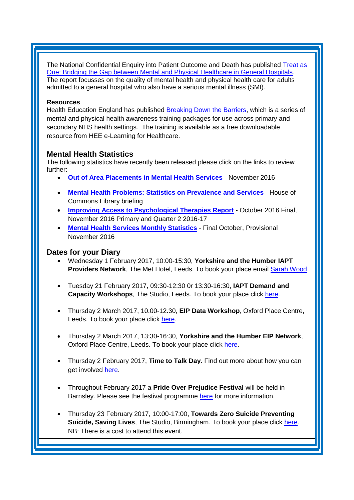The National Confidential Enquiry into Patient Outcome and Death has published [Treat as](http://www.ncepod.org.uk/2017mhgh.html)  [One: Bridging the Gap between Mental and Physical Healthcare in General Hospitals.](http://www.ncepod.org.uk/2017mhgh.html) The report focusses on the quality of mental health and physical health care for adults admitted to a general hospital who also have a serious mental illness (SMI).

#### **Resources**

Health Education England has published [Breaking Down the Barriers,](http://www.e-lfh.org.uk/programmes/breaking-down-the-barriers/) which is a series of mental and physical health awareness training packages for use across primary and secondary NHS health settings. The training is available as a free downloadable resource from HEE e-Learning for Healthcare.

# <span id="page-4-0"></span>**Mental Health Statistics**

The following statistics have recently been released please click on the links to review further:

- **[Out of Area Placements in Mental Health Services](https://www.gov.uk/government/statistics/out-of-area-placements-in-mental-health-services-nov-2016)** November 2016
- **[Mental Health Problems: Statistics on Prevalence and Services](http://researchbriefings.parliament.uk/ResearchBriefing/Summary/SN06988)** House of Commons Library briefing
- **[Improving Access to Psychological Therapies Report](https://www.gov.uk/government/statistics/improving-access-to-psychological-therapies-report-oct-2016-final-nov-2016-primary)** October 2016 Final, November 2016 Primary and Quarter 2 2016-17
- **[Mental Health Services Monthly Statistics](https://www.gov.uk/government/statistics/mental-health-services-monthly-statistics-oct-final-nov-provisional-2016)** Final October, Provisional November 2016

# **Dates for your Diary**

- Wednesday 1 February 2017, 10:00-15:30, **Yorkshire and the Humber IAPT Providers Network, The Met Hotel, Leeds. To book your place email [Sarah Wood](mailto:sarah.wood1@nhs.net?subject=IAPT%20Providers%20Network)**
- Tuesday 21 February 2017, 09:30-12:30 0r 13:30-16:30, **IAPT Demand and Capacity Workshops**, The Studio, Leeds. To book your place click [here.](https://www.eventbrite.co.uk/e/iapt-demand-and-capacity-workshops-tickets-30583522138)
- Thursday 2 March 2017, 10.00-12.30, **EIP Data Workshop**, Oxford Place Centre, Leeds. To book your place click [here.](https://www.eventbrite.co.uk/e/intensive-support-team-eip-data-workshop-tickets-30956466625)
- Thursday 2 March 2017, 13:30-16:30, **Yorkshire and the Humber EIP Network**, Oxford Place Centre, Leeds. To book your place click [here.](https://www.eventbrite.co.uk/e/yorkshire-and-the-humber-eip-network-tickets-30956806642)
- Thursday 2 February 2017, **Time to Talk Day**. Find out more about how you can get involved [here.](http://www.time-to-change.org.uk/timetotalkday)
- Throughout February 2017 a **Pride Over Prejudice Festival** will be held in Barnsley. Please see the festival programme [here](https://www.flipsnack.com/POPFestival17/pop-festival-a6-event-guide-pages.html) for more information.
- Thursday 23 February 2017, 10:00-17:00, **Towards Zero Suicide Preventing Suicide, Saving Lives**, The Studio, Birmingham. To book your place click [here.](http://www.healthcareconferencesuk.co.uk/event/1224/book) NB: There is a cost to attend this event.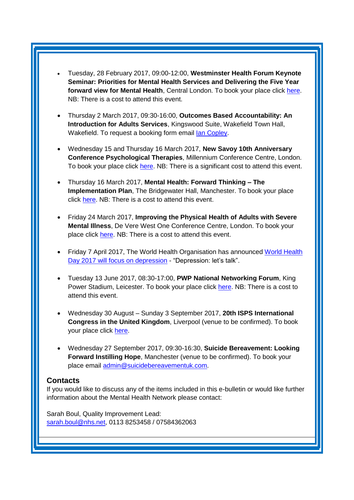- Tuesday, 28 February 2017, 09:00-12:00, **Westminster Health Forum Keynote Seminar: Priorities for Mental Health Services and Delivering the Five Year forward view for Mental Health**, Central London. To book your place click [here.](http://www.westminsterforumprojects.co.uk/forums/book_event.php?eid=1301) NB: There is a cost to attend this event.
- Thursday 2 March 2017, 09:30-16:00, **Outcomes Based Accountability: An Introduction for Adults Services**, Kingswood Suite, Wakefield Town Hall, Wakefield. To request a booking form email [Ian Copley.](mailto:icopley@wakefield.gov.uk)
- Wednesday 15 and Thursday 16 March 2017, **New Savoy 10th Anniversary Conference Psychological Therapies**, Millennium Conference Centre, London. To book your place click [here.](http://www.healthcareconferencesuk.co.uk/conf/uploads/brochures/1210_20161216-123927_Psychological_Therapies_2017.pdf) NB: There is a significant cost to attend this event.
- Thursday 16 March 2017, **Mental Health: Forward Thinking – The Implementation Plan**, The Bridgewater Hall, Manchester. To book your place click [here.](https://www.eventbrite.co.uk/e/mental-health-forward-thinking-the-implementation-plan-registration-28420752235?utm_source=S3+ALL+MH+PAST+OPENS+AND+CLICKS+17%2F11%2F16&utm_medium=email&utm_campaign=S3+OFE+Mental+Health+2017) NB: There is a cost to attend this event.
- Friday 24 March 2017, **Improving the Physical Health of Adults with Severe Mental Illness**, De Vere West One Conference Centre, London. To book your place click [here.](http://www.healthcareconferencesuk.co.uk/conf/uploads/brochures/633_20161208-114600_Physical_Health_for_people_with_Severe_Mental_Illness_March_2017.pdf) NB: There is a cost to attend this event.
- Friday 7 April 2017, The [World Health](http://www.who.int/campaigns/world-health-day/2017/en/) Organisation has announced World Health [Day 2017 will focus on depression](http://www.who.int/campaigns/world-health-day/2017/en/) - "Depression: let's talk".
- Tuesday 13 June 2017, 08:30-17:00, **PWP National Networking Forum**, King Power Stadium, Leicester. To book your place click [here.](http://www.iapt-nnf.co.uk/Home/ViewEvent/62?utm_source=SBK%20Healthcare&utm_medium=email&utm_campaign=7812213_PWP%202017%20call%20for%20speakers&dm_i=1SB0,4NFXX,NDG0NR,HCBR9,1#agenda) NB: There is a cost to attend this event.
- Wednesday 30 August Sunday 3 September 2017, **20th ISPS International Congress in the United Kingdom**, Liverpool (venue to be confirmed). To book your place click [here.](http://www.isps2017uk.org/)
- Wednesday 27 September 2017, 09:30-16:30, **Suicide Bereavement: Looking Forward Instilling Hope**, Manchester (venue to be confirmed). To book your place email [admin@suicidebereavementuk.com.](mailto:admin@suicidebereavementuk.com)

#### <span id="page-5-0"></span>**Contacts**

If you would like to discuss any of the items included in this e-bulletin or would like further information about the Mental Health Network please contact:

Sarah Boul, Quality Improvement Lead: [sarah.boul@nhs.net,](mailto:sarah.boul@nhs.net) 0113 8253458 / 07584362063